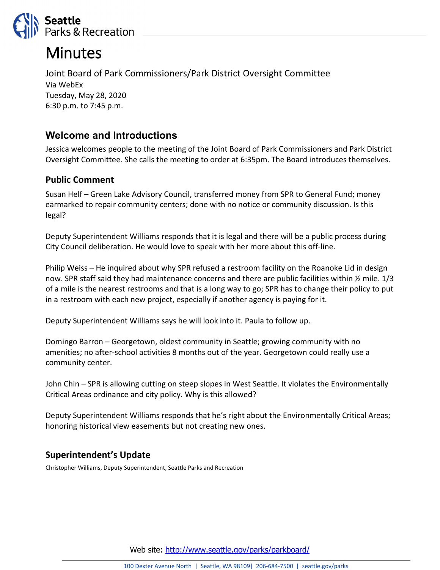

# **Minutes**

Joint Board of Park Commissioners/Park District Oversight Committee Via WebEx Tuesday, May 28, 2020 6:30 p.m. to 7:45 p.m.

## **Welcome and Introductions**

Jessica welcomes people to the meeting of the Joint Board of Park Commissioners and Park District Oversight Committee. She calls the meeting to order at 6:35pm. The Board introduces themselves.

### **Public Comment**

Susan Helf – Green Lake Advisory Council, transferred money from SPR to General Fund; money earmarked to repair community centers; done with no notice or community discussion. Is this legal?

Deputy Superintendent Williams responds that it is legal and there will be a public process during City Council deliberation. He would love to speak with her more about this off-line.

Philip Weiss – He inquired about why SPR refused a restroom facility on the Roanoke Lid in design now. SPR staff said they had maintenance concerns and there are public facilities within  $\frac{1}{2}$  mile. 1/3 of a mile is the nearest restrooms and that is a long way to go; SPR has to change their policy to put in a restroom with each new project, especially if another agency is paying for it.

Deputy Superintendent Williams says he will look into it. Paula to follow up.

Domingo Barron – Georgetown, oldest community in Seattle; growing community with no amenities; no after-school activities 8 months out of the year. Georgetown could really use a community center.

John Chin – SPR is allowing cutting on steep slopes in West Seattle. It violates the Environmentally Critical Areas ordinance and city policy. Why is this allowed?

Deputy Superintendent Williams responds that he's right about the Environmentally Critical Areas; honoring historical view easements but not creating new ones.

### **Superintendent's Update**

Christopher Williams, Deputy Superintendent, Seattle Parks and Recreation

Web site: <http://www.seattle.gov/parks/parkboard/>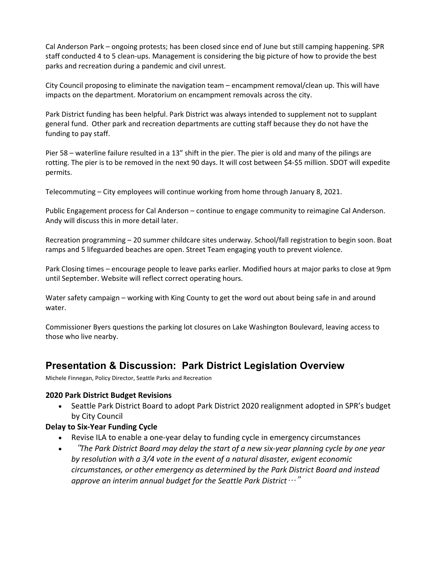Cal Anderson Park – ongoing protests; has been closed since end of June but still camping happening. SPR staff conducted 4 to 5 clean-ups. Management is considering the big picture of how to provide the best parks and recreation during a pandemic and civil unrest.

City Council proposing to eliminate the navigation team – encampment removal/clean up. This will have impacts on the department. Moratorium on encampment removals across the city.

Park District funding has been helpful. Park District was always intended to supplement not to supplant general fund. Other park and recreation departments are cutting staff because they do not have the funding to pay staff.

Pier 58 – waterline failure resulted in a 13" shift in the pier. The pier is old and many of the pilings are rotting. The pier is to be removed in the next 90 days. It will cost between \$4-\$5 million. SDOT will expedite permits.

Telecommuting – City employees will continue working from home through January 8, 2021.

Public Engagement process for Cal Anderson – continue to engage community to reimagine Cal Anderson. Andy will discuss this in more detail later.

Recreation programming – 20 summer childcare sites underway. School/fall registration to begin soon. Boat ramps and 5 lifeguarded beaches are open. Street Team engaging youth to prevent violence.

Park Closing times – encourage people to leave parks earlier. Modified hours at major parks to close at 9pm until September. Website will reflect correct operating hours.

Water safety campaign – working with King County to get the word out about being safe in and around water.

Commissioner Byers questions the parking lot closures on Lake Washington Boulevard, leaving access to those who live nearby.

## **Presentation & Discussion: Park District Legislation Overview**

Michele Finnegan, Policy Director, Seattle Parks and Recreation

#### **2020 Park District Budget Revisions**

• Seattle Park District Board to adopt Park District 2020 realignment adopted in SPR's budget by City Council

### **Delay to Six-Year Funding Cycle**

- Revise ILA to enable a one-year delay to funding cycle in emergency circumstances
- "*The Park District Board may delay the start of a new six-year planning cycle by one year by resolution with a 3/4 vote in the event of a natural disaster, exigent economic circumstances, or other emergency as determined by the Park District Board and instead approve an interim annual budget for the Seattle Park District*…"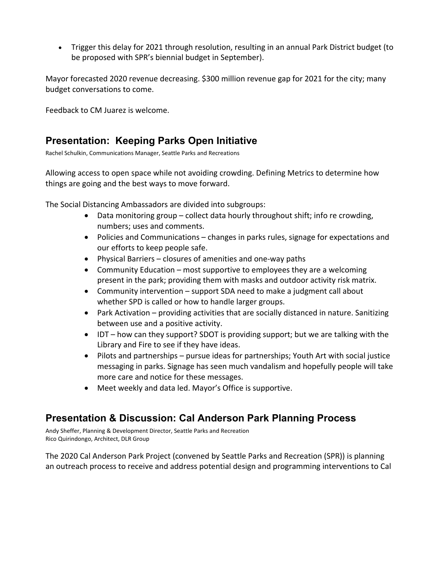• Trigger this delay for 2021 through resolution, resulting in an annual Park District budget (to be proposed with SPR's biennial budget in September).

Mayor forecasted 2020 revenue decreasing. \$300 million revenue gap for 2021 for the city; many budget conversations to come.

Feedback to CM Juarez is welcome.

### **Presentation: Keeping Parks Open Initiative**

Rachel Schulkin, Communications Manager, Seattle Parks and Recreations

Allowing access to open space while not avoiding crowding. Defining Metrics to determine how things are going and the best ways to move forward.

The Social Distancing Ambassadors are divided into subgroups:

- Data monitoring group collect data hourly throughout shift; info re crowding, numbers; uses and comments.
- Policies and Communications changes in parks rules, signage for expectations and our efforts to keep people safe.
- Physical Barriers closures of amenities and one-way paths
- Community Education most supportive to employees they are a welcoming present in the park; providing them with masks and outdoor activity risk matrix.
- Community intervention support SDA need to make a judgment call about whether SPD is called or how to handle larger groups.
- Park Activation providing activities that are socially distanced in nature. Sanitizing between use and a positive activity.
- IDT how can they support? SDOT is providing support; but we are talking with the Library and Fire to see if they have ideas.
- Pilots and partnerships pursue ideas for partnerships; Youth Art with social justice messaging in parks. Signage has seen much vandalism and hopefully people will take more care and notice for these messages.
- Meet weekly and data led. Mayor's Office is supportive.

## **Presentation & Discussion: Cal Anderson Park Planning Process**

Andy Sheffer, Planning & Development Director, Seattle Parks and Recreation Rico Quirindongo, Architect, DLR Group

The 2020 Cal Anderson Park Project (convened by Seattle Parks and Recreation (SPR)) is planning an outreach process to receive and address potential design and programming interventions to Cal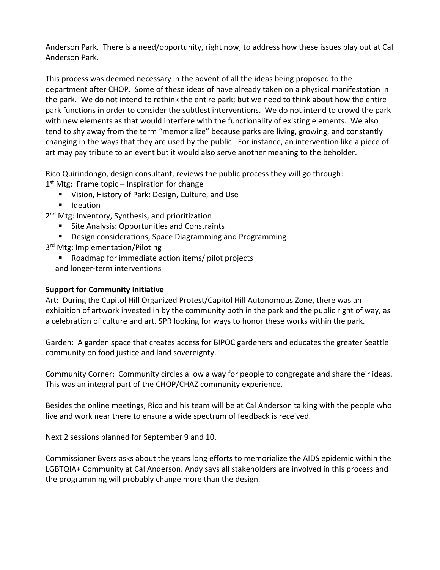Anderson Park. There is a need/opportunity, right now, to address how these issues play out at Cal Anderson Park.

This process was deemed necessary in the advent of all the ideas being proposed to the department after CHOP. Some of these ideas of have already taken on a physical manifestation in the park. We do not intend to rethink the entire park; but we need to think about how the entire park functions in order to consider the subtlest interventions. We do not intend to crowd the park with new elements as that would interfere with the functionality of existing elements. We also tend to shy away from the term "memorialize" because parks are living, growing, and constantly changing in the ways that they are used by the public. For instance, an intervention like a piece of art may pay tribute to an event but it would also serve another meaning to the beholder.

Rico Quirindongo, design consultant, reviews the public process they will go through:

 $1<sup>st</sup>$  Mtg: Frame topic – Inspiration for change

- Vision, History of Park: Design, Culture, and Use
- **I** Ideation

2<sup>nd</sup> Mtg: Inventory, Synthesis, and prioritization

- Site Analysis: Opportunities and Constraints
- **Design considerations, Space Diagramming and Programming**
- 3<sup>rd</sup> Mtg: Implementation/Piloting
	- Roadmap for immediate action items/ pilot projects and longer-term interventions

### **Support for Community Initiative**

Art: During the Capitol Hill Organized Protest/Capitol Hill Autonomous Zone, there was an exhibition of artwork invested in by the community both in the park and the public right of way, as a celebration of culture and art. SPR looking for ways to honor these works within the park.

Garden: A garden space that creates access for BIPOC gardeners and educates the greater Seattle community on food justice and land sovereignty.

Community Corner: Community circles allow a way for people to congregate and share their ideas. This was an integral part of the CHOP/CHAZ community experience.

Besides the online meetings, Rico and his team will be at Cal Anderson talking with the people who live and work near there to ensure a wide spectrum of feedback is received.

Next 2 sessions planned for September 9 and 10.

Commissioner Byers asks about the years long efforts to memorialize the AIDS epidemic within the LGBTQIA+ Community at Cal Anderson. Andy says all stakeholders are involved in this process and the programming will probably change more than the design.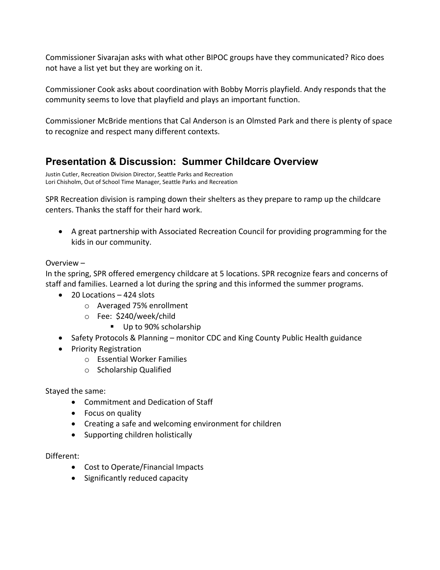Commissioner Sivarajan asks with what other BIPOC groups have they communicated? Rico does not have a list yet but they are working on it.

Commissioner Cook asks about coordination with Bobby Morris playfield. Andy responds that the community seems to love that playfield and plays an important function.

Commissioner McBride mentions that Cal Anderson is an Olmsted Park and there is plenty of space to recognize and respect many different contexts.

# **Presentation & Discussion: Summer Childcare Overview**

Justin Cutler, Recreation Division Director, Seattle Parks and Recreation Lori Chisholm, Out of School Time Manager, Seattle Parks and Recreation

SPR Recreation division is ramping down their shelters as they prepare to ramp up the childcare centers. Thanks the staff for their hard work.

• A great partnership with Associated Recreation Council for providing programming for the kids in our community.

### Overview –

In the spring, SPR offered emergency childcare at 5 locations. SPR recognize fears and concerns of staff and families. Learned a lot during the spring and this informed the summer programs.

- 20 Locations 424 slots
	- o Averaged 75% enrollment
	- o Fee: \$240/week/child
		- Up to 90% scholarship
- Safety Protocols & Planning monitor CDC and King County Public Health guidance
- Priority Registration
	- o Essential Worker Families
	- o Scholarship Qualified

Stayed the same:

- Commitment and Dedication of Staff
- Focus on quality
- Creating a safe and welcoming environment for children
- Supporting children holistically

### Different:

- Cost to Operate/Financial Impacts
- Significantly reduced capacity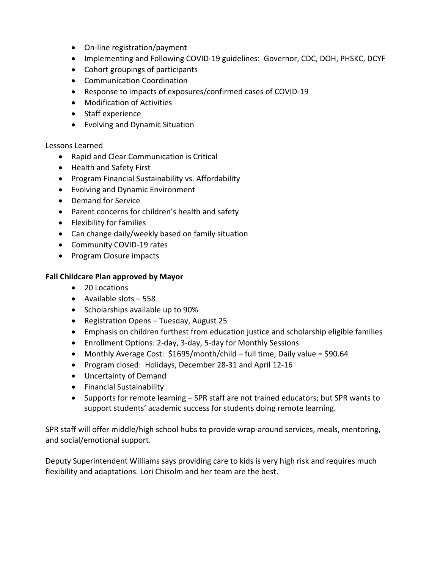- On-line registration/payment
- Implementing and Following COVID-19 guidelines: Governor, CDC, DOH, PHSKC, DCYF
- Cohort groupings of participants
- Communication Coordination
- Response to impacts of exposures/confirmed cases of COVID-19
- Modification of Activities
- Staff experience
- Evolving and Dynamic Situation

#### Lessons Learned

- Rapid and Clear Communication is Critical
- Health and Safety First
- Program Financial Sustainability vs. Affordability
- Evolving and Dynamic Environment
- Demand for Service
- Parent concerns for children's health and safety
- Flexibility for families
- Can change daily/weekly based on family situation
- Community COVID-19 rates
- Program Closure impacts

#### **Fall Childcare Plan approved by Mayor**

- 20 Locations
- Available slots 558
- Scholarships available up to 90%
- Registration Opens Tuesday, August 25
- Emphasis on children furthest from education justice and scholarship eligible families
- Enrollment Options: 2-day, 3-day, 5-day for Monthly Sessions
- Monthly Average Cost: \$1695/month/child full time, Daily value = \$90.64
- Program closed: Holidays, December 28-31 and April 12-16
- Uncertainty of Demand
- Financial Sustainability
- Supports for remote learning SPR staff are not trained educators; but SPR wants to support students' academic success for students doing remote learning.

SPR staff will offer middle/high school hubs to provide wrap-around services, meals, mentoring, and social/emotional support.

Deputy Superintendent Williams says providing care to kids is very high risk and requires much flexibility and adaptations. Lori Chisolm and her team are the best.